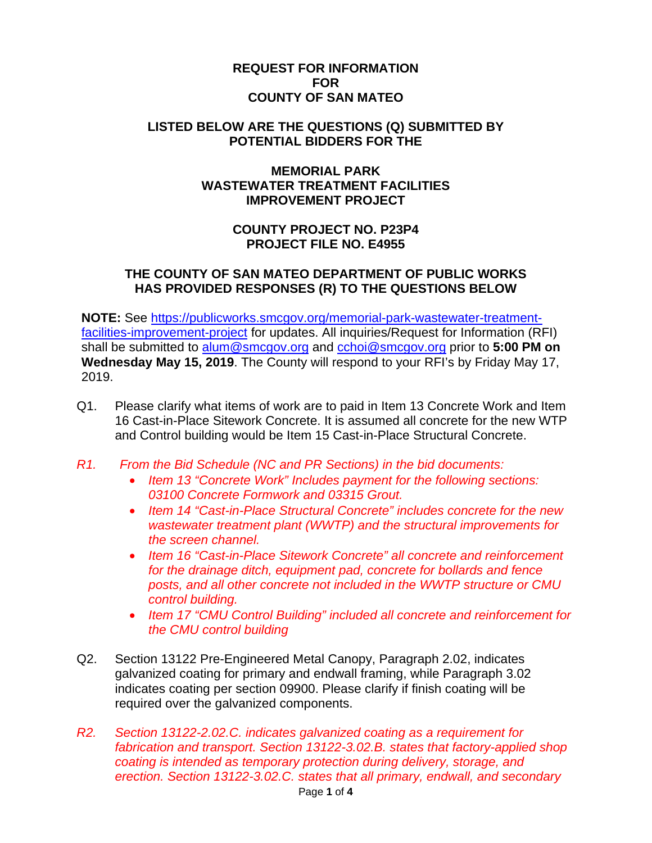## **REQUEST FOR INFORMATION FOR COUNTY OF SAN MATEO**

### **LISTED BELOW ARE THE QUESTIONS (Q) SUBMITTED BY POTENTIAL BIDDERS FOR THE**

## **MEMORIAL PARK WASTEWATER TREATMENT FACILITIES IMPROVEMENT PROJECT**

# **COUNTY PROJECT NO. P23P4 PROJECT FILE NO. E4955**

## **THE COUNTY OF SAN MATEO DEPARTMENT OF PUBLIC WORKS HAS PROVIDED RESPONSES (R) TO THE QUESTIONS BELOW**

**NOTE:** See https://publicworks.smcgov.org/memorial-park-wastewater-treatmentfacilities-improvement-project for updates. All inquiries/Request for Information (RFI) shall be submitted to alum@smcgov.org and cchoi@smcgov.org prior to **5:00 PM on Wednesday May 15, 2019**. The County will respond to your RFI's by Friday May 17, 2019.

- Q1. Please clarify what items of work are to paid in Item 13 Concrete Work and Item 16 Cast-in-Place Sitework Concrete. It is assumed all concrete for the new WTP and Control building would be Item 15 Cast-in-Place Structural Concrete.
- *R1. From the Bid Schedule (NC and PR Sections) in the bid documents:* 
	- *Item 13 "Concrete Work" Includes payment for the following sections: 03100 Concrete Formwork and 03315 Grout.*
	- *Item 14 "Cast-in-Place Structural Concrete" includes concrete for the new wastewater treatment plant (WWTP) and the structural improvements for the screen channel.*
	- *Item 16 "Cast-in-Place Sitework Concrete" all concrete and reinforcement for the drainage ditch, equipment pad, concrete for bollards and fence posts, and all other concrete not included in the WWTP structure or CMU control building.*
	- *Item 17 "CMU Control Building" included all concrete and reinforcement for the CMU control building*
- Q2. Section 13122 Pre-Engineered Metal Canopy, Paragraph 2.02, indicates galvanized coating for primary and endwall framing, while Paragraph 3.02 indicates coating per section 09900. Please clarify if finish coating will be required over the galvanized components.
- *R2. Section 13122-2.02.C. indicates galvanized coating as a requirement for fabrication and transport. Section 13122-3.02.B. states that factory-applied shop coating is intended as temporary protection during delivery, storage, and erection. Section 13122-3.02.C. states that all primary, endwall, and secondary*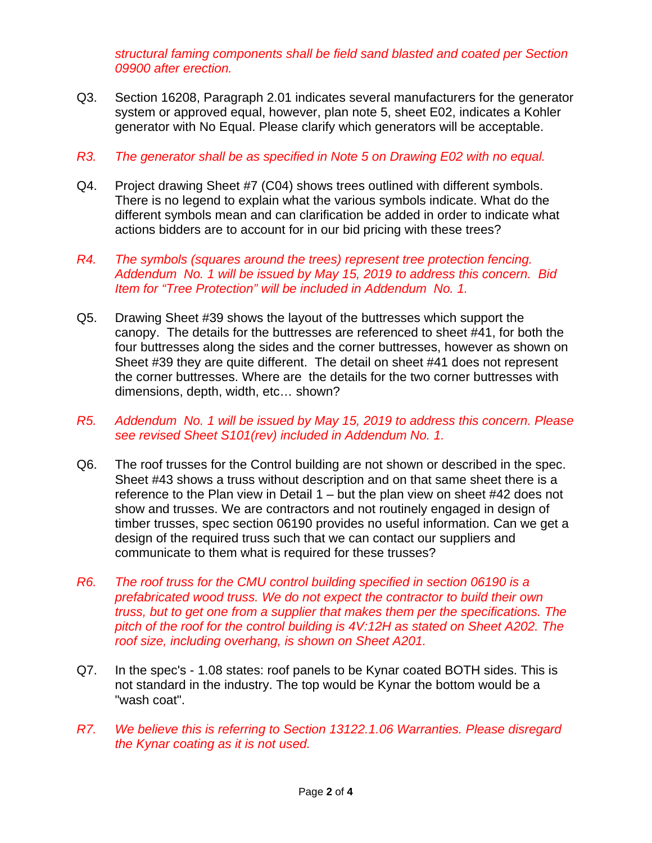*structural faming components shall be field sand blasted and coated per Section 09900 after erection.* 

Q3. Section 16208, Paragraph 2.01 indicates several manufacturers for the generator system or approved equal, however, plan note 5, sheet E02, indicates a Kohler generator with No Equal. Please clarify which generators will be acceptable.

### *R3. The generator shall be as specified in Note 5 on Drawing E02 with no equal.*

- Q4. Project drawing Sheet #7 (C04) shows trees outlined with different symbols. There is no legend to explain what the various symbols indicate. What do the different symbols mean and can clarification be added in order to indicate what actions bidders are to account for in our bid pricing with these trees?
- *R4. The symbols (squares around the trees) represent tree protection fencing. Addendum No. 1 will be issued by May 15, 2019 to address this concern. Bid Item for "Tree Protection" will be included in Addendum No. 1.*
- Q5. Drawing Sheet #39 shows the layout of the buttresses which support the canopy. The details for the buttresses are referenced to sheet #41, for both the four buttresses along the sides and the corner buttresses, however as shown on Sheet #39 they are quite different. The detail on sheet #41 does not represent the corner buttresses. Where are the details for the two corner buttresses with dimensions, depth, width, etc… shown?
- *R5. Addendum No. 1 will be issued by May 15, 2019 to address this concern. Please see revised Sheet S101(rev) included in Addendum No. 1.*
- Q6. The roof trusses for the Control building are not shown or described in the spec. Sheet #43 shows a truss without description and on that same sheet there is a reference to the Plan view in Detail 1 – but the plan view on sheet #42 does not show and trusses. We are contractors and not routinely engaged in design of timber trusses, spec section 06190 provides no useful information. Can we get a design of the required truss such that we can contact our suppliers and communicate to them what is required for these trusses?
- *R6. The roof truss for the CMU control building specified in section 06190 is a prefabricated wood truss. We do not expect the contractor to build their own truss, but to get one from a supplier that makes them per the specifications. The pitch of the roof for the control building is 4V:12H as stated on Sheet A202. The roof size, including overhang, is shown on Sheet A201.*
- Q7. In the spec's 1.08 states: roof panels to be Kynar coated BOTH sides. This is not standard in the industry. The top would be Kynar the bottom would be a "wash coat".
- *R7. We believe this is referring to Section 13122.1.06 Warranties. Please disregard the Kynar coating as it is not used.*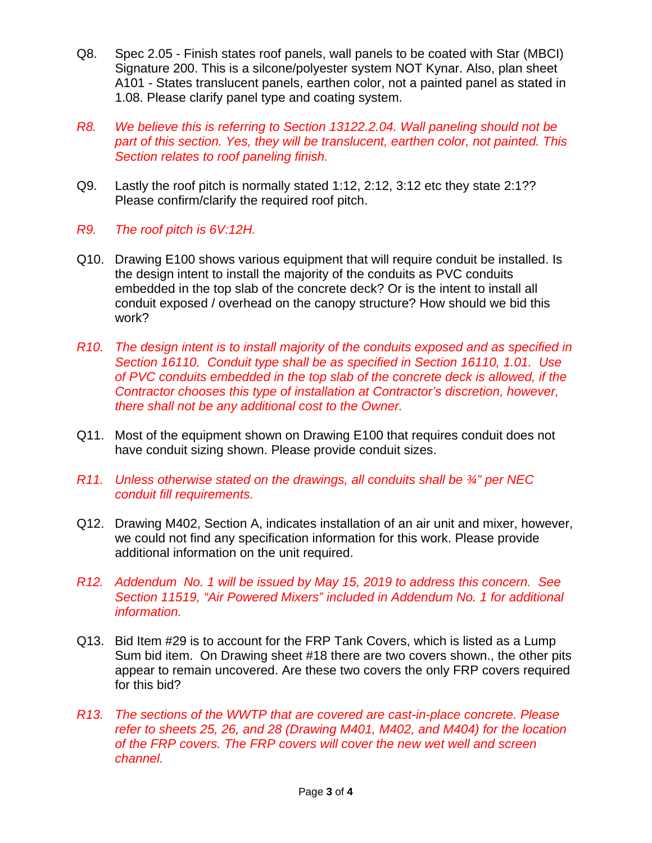- Q8. Spec 2.05 Finish states roof panels, wall panels to be coated with Star (MBCI) Signature 200. This is a silcone/polyester system NOT Kynar. Also, plan sheet A101 - States translucent panels, earthen color, not a painted panel as stated in 1.08. Please clarify panel type and coating system.
- *R8. We believe this is referring to Section 13122.2.04. Wall paneling should not be part of this section. Yes, they will be translucent, earthen color, not painted. This Section relates to roof paneling finish.*
- Q9. Lastly the roof pitch is normally stated 1:12, 2:12, 3:12 etc they state 2:1?? Please confirm/clarify the required roof pitch.
- *R9. The roof pitch is 6V:12H.*
- Q10. Drawing E100 shows various equipment that will require conduit be installed. Is the design intent to install the majority of the conduits as PVC conduits embedded in the top slab of the concrete deck? Or is the intent to install all conduit exposed / overhead on the canopy structure? How should we bid this work?
- *R10. The design intent is to install majority of the conduits exposed and as specified in Section 16110. Conduit type shall be as specified in Section 16110, 1.01. Use of PVC conduits embedded in the top slab of the concrete deck is allowed, if the Contractor chooses this type of installation at Contractor's discretion, however, there shall not be any additional cost to the Owner.*
- Q11. Most of the equipment shown on Drawing E100 that requires conduit does not have conduit sizing shown. Please provide conduit sizes.
- *R11. Unless otherwise stated on the drawings, all conduits shall be ¾" per NEC conduit fill requirements.*
- Q12. Drawing M402, Section A, indicates installation of an air unit and mixer, however, we could not find any specification information for this work. Please provide additional information on the unit required.
- *R12. Addendum No. 1 will be issued by May 15, 2019 to address this concern. See Section 11519, "Air Powered Mixers" included in Addendum No. 1 for additional information.*
- Q13. Bid Item #29 is to account for the FRP Tank Covers, which is listed as a Lump Sum bid item. On Drawing sheet #18 there are two covers shown., the other pits appear to remain uncovered. Are these two covers the only FRP covers required for this bid?
- *R13. The sections of the WWTP that are covered are cast-in-place concrete. Please refer to sheets 25, 26, and 28 (Drawing M401, M402, and M404) for the location of the FRP covers. The FRP covers will cover the new wet well and screen channel.*